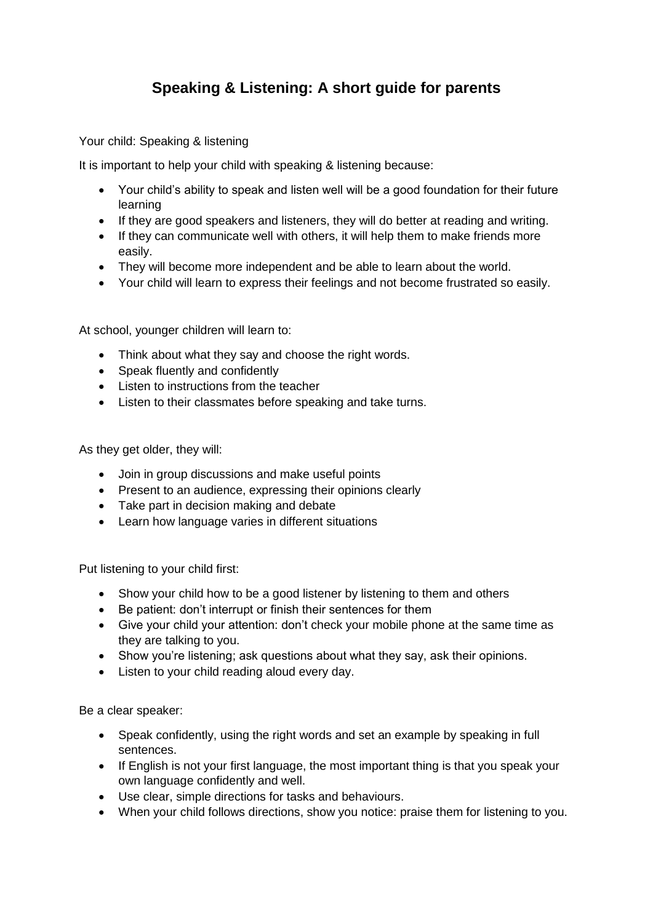## **Speaking & Listening: A short guide for parents**

Your child: Speaking & listening

It is important to help your child with speaking & listening because:

- Your child's ability to speak and listen well will be a good foundation for their future learning
- If they are good speakers and listeners, they will do better at reading and writing.
- If they can communicate well with others, it will help them to make friends more easily.
- They will become more independent and be able to learn about the world.
- Your child will learn to express their feelings and not become frustrated so easily.

At school, younger children will learn to:

- Think about what they say and choose the right words.
- Speak fluently and confidently
- Listen to instructions from the teacher
- Listen to their classmates before speaking and take turns.

As they get older, they will:

- Join in group discussions and make useful points
- Present to an audience, expressing their opinions clearly
- Take part in decision making and debate
- Learn how language varies in different situations

Put listening to your child first:

- Show your child how to be a good listener by listening to them and others
- Be patient: don't interrupt or finish their sentences for them
- Give your child your attention: don't check your mobile phone at the same time as they are talking to you.
- Show you're listening; ask questions about what they say, ask their opinions.
- Listen to your child reading aloud every day.

Be a clear speaker:

- Speak confidently, using the right words and set an example by speaking in full sentences.
- If English is not your first language, the most important thing is that you speak your own language confidently and well.
- Use clear, simple directions for tasks and behaviours.
- When your child follows directions, show you notice: praise them for listening to you.